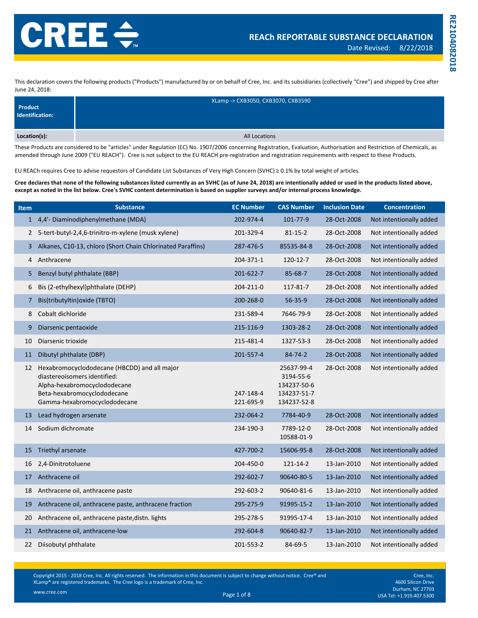This declaration covers the following products ("Products") manufactured by or on behalf of Cree, Inc. and its subsidiaries (collectively "Cree") and shipped by Cree after June 24, 2018:

| Product<br>Identification: | XLamp -> CXB3050, CXB3070, CXB3590 |
|----------------------------|------------------------------------|
| Location(s):               | <b>All Locations</b>               |

These Products are considered to be "articles" under Regulation (EC) No. 1907/2006 concerning Registration, Evaluation, Authorisation and Restriction of Chemicals, as amended through June 2009 ("EU REACH"). Cree is not subject to the EU REACH pre-registration and registration requirements with respect to these Products.

EU REACh requires Cree to advise requestors of Candidate List Substances of Very High Concern (SVHC) ≥ 0.1% by total weight of articles.

**Cree declares that none of the following substances listed currently as an SVHC (as of June 24, 2018) are intentionally added or used in the products listed above, except as noted in the list below. Cree's SVHC content determination is based on supplier surveys and/or internal process knowledge.**

| <b>Item</b>    | <b>Substance</b>                                                                                                                                                            | <b>EC Number</b>       | <b>CAS Number</b>                                                    | <b>Inclusion Date</b> | <b>Concentration</b>    |
|----------------|-----------------------------------------------------------------------------------------------------------------------------------------------------------------------------|------------------------|----------------------------------------------------------------------|-----------------------|-------------------------|
|                | 1 4,4'- Diaminodiphenylmethane (MDA)                                                                                                                                        | 202-974-4              | 101-77-9                                                             | 28-Oct-2008           | Not intentionally added |
| $\mathbf{2}$   | 5-tert-butyl-2,4,6-trinitro-m-xylene (musk xylene)                                                                                                                          | 201-329-4              | $81 - 15 - 2$                                                        | 28-Oct-2008           | Not intentionally added |
| 3              | Alkanes, C10-13, chloro (Short Chain Chlorinated Paraffins)                                                                                                                 | 287-476-5              | 85535-84-8                                                           | 28-Oct-2008           | Not intentionally added |
| 4              | Anthracene                                                                                                                                                                  | 204-371-1              | 120-12-7                                                             | 28-Oct-2008           | Not intentionally added |
| 5.             | Benzyl butyl phthalate (BBP)                                                                                                                                                | 201-622-7              | $85 - 68 - 7$                                                        | 28-Oct-2008           | Not intentionally added |
| 6              | Bis (2-ethylhexyl)phthalate (DEHP)                                                                                                                                          | 204-211-0              | 117-81-7                                                             | 28-Oct-2008           | Not intentionally added |
| $\overline{7}$ | Bis(tributyltin) oxide (TBTO)                                                                                                                                               | 200-268-0              | $56 - 35 - 9$                                                        | 28-Oct-2008           | Not intentionally added |
| 8              | Cobalt dichloride                                                                                                                                                           | 231-589-4              | 7646-79-9                                                            | 28-Oct-2008           | Not intentionally added |
| 9              | Diarsenic pentaoxide                                                                                                                                                        | 215-116-9              | 1303-28-2                                                            | 28-Oct-2008           | Not intentionally added |
| 10             | Diarsenic trioxide                                                                                                                                                          | 215-481-4              | 1327-53-3                                                            | 28-Oct-2008           | Not intentionally added |
| 11             | Dibutyl phthalate (DBP)                                                                                                                                                     | 201-557-4              | $84 - 74 - 2$                                                        | 28-Oct-2008           | Not intentionally added |
| 12             | Hexabromocyclododecane (HBCDD) and all major<br>diastereoisomers identified:<br>Alpha-hexabromocyclododecane<br>Beta-hexabromocyclododecane<br>Gamma-hexabromocyclododecane | 247-148-4<br>221-695-9 | 25637-99-4<br>3194-55-6<br>134237-50-6<br>134237-51-7<br>134237-52-8 | 28-Oct-2008           | Not intentionally added |
| 13             | Lead hydrogen arsenate                                                                                                                                                      | 232-064-2              | 7784-40-9                                                            | 28-Oct-2008           | Not intentionally added |
| 14             | Sodium dichromate                                                                                                                                                           | 234-190-3              | 7789-12-0<br>10588-01-9                                              | 28-Oct-2008           | Not intentionally added |
| 15             | Triethyl arsenate                                                                                                                                                           | 427-700-2              | 15606-95-8                                                           | 28-Oct-2008           | Not intentionally added |
| 16             | 2,4-Dinitrotoluene                                                                                                                                                          | 204-450-0              | 121-14-2                                                             | 13-Jan-2010           | Not intentionally added |
| 17             | Anthracene oil                                                                                                                                                              | 292-602-7              | 90640-80-5                                                           | 13-Jan-2010           | Not intentionally added |
| 18             | Anthracene oil, anthracene paste                                                                                                                                            | 292-603-2              | 90640-81-6                                                           | 13-Jan-2010           | Not intentionally added |
| 19             | Anthracene oil, anthracene paste, anthracene fraction                                                                                                                       | 295-275-9              | 91995-15-2                                                           | 13-Jan-2010           | Not intentionally added |
| 20             | Anthracene oil, anthracene paste, distn. lights                                                                                                                             | 295-278-5              | 91995-17-4                                                           | 13-Jan-2010           | Not intentionally added |
| 21             | Anthracene oil, anthracene-low                                                                                                                                              | 292-604-8              | 90640-82-7                                                           | 13-Jan-2010           | Not intentionally added |
| 22             | Diisobutyl phthalate                                                                                                                                                        | 201-553-2              | 84-69-5                                                              | 13-Jan-2010           | Not intentionally added |

Copyright 2015 - 2018 Cree, Inc. All rights reserved. The information in this document is subject to change without notice. Cree® and XLamp® are registered trademarks. The Cree logo is a trademark of Cree, Inc.

**RE2104082018**

RE2104082018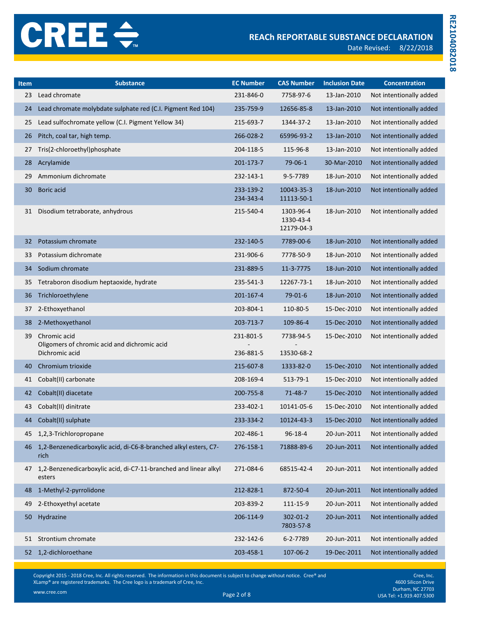Date Revised: 8/22/2018

| Item | <b>Substance</b>                                                               | <b>EC Number</b>       | <b>CAS Number</b>                    | <b>Inclusion Date</b> | <b>Concentration</b>    |
|------|--------------------------------------------------------------------------------|------------------------|--------------------------------------|-----------------------|-------------------------|
| 23   | Lead chromate                                                                  | 231-846-0              | 7758-97-6                            | 13-Jan-2010           | Not intentionally added |
| 24   | Lead chromate molybdate sulphate red (C.I. Pigment Red 104)                    | 235-759-9              | 12656-85-8                           | 13-Jan-2010           | Not intentionally added |
| 25   | Lead sulfochromate yellow (C.I. Pigment Yellow 34)                             | 215-693-7              | 1344-37-2                            | 13-Jan-2010           | Not intentionally added |
| 26   | Pitch, coal tar, high temp.                                                    | 266-028-2              | 65996-93-2                           | 13-Jan-2010           | Not intentionally added |
| 27   | Tris(2-chloroethyl)phosphate                                                   | 204-118-5              | 115-96-8                             | 13-Jan-2010           | Not intentionally added |
| 28   | Acrylamide                                                                     | 201-173-7              | 79-06-1                              | 30-Mar-2010           | Not intentionally added |
| 29   | Ammonium dichromate                                                            | 232-143-1              | 9-5-7789                             | 18-Jun-2010           | Not intentionally added |
| 30   | Boric acid                                                                     | 233-139-2<br>234-343-4 | 10043-35-3<br>11113-50-1             | 18-Jun-2010           | Not intentionally added |
| 31   | Disodium tetraborate, anhydrous                                                | 215-540-4              | 1303-96-4<br>1330-43-4<br>12179-04-3 | 18-Jun-2010           | Not intentionally added |
| 32   | Potassium chromate                                                             | 232-140-5              | 7789-00-6                            | 18-Jun-2010           | Not intentionally added |
| 33   | Potassium dichromate                                                           | 231-906-6              | 7778-50-9                            | 18-Jun-2010           | Not intentionally added |
| 34   | Sodium chromate                                                                | 231-889-5              | 11-3-7775                            | 18-Jun-2010           | Not intentionally added |
| 35   | Tetraboron disodium heptaoxide, hydrate                                        | 235-541-3              | 12267-73-1                           | 18-Jun-2010           | Not intentionally added |
| 36   | Trichloroethylene                                                              | 201-167-4              | $79-01-6$                            | 18-Jun-2010           | Not intentionally added |
| 37   | 2-Ethoxyethanol                                                                | 203-804-1              | 110-80-5                             | 15-Dec-2010           | Not intentionally added |
| 38   | 2-Methoxyethanol                                                               | 203-713-7              | 109-86-4                             | 15-Dec-2010           | Not intentionally added |
| 39   | Chromic acid<br>Oligomers of chromic acid and dichromic acid<br>Dichromic acid | 231-801-5<br>236-881-5 | 7738-94-5<br>13530-68-2              | 15-Dec-2010           | Not intentionally added |
| 40   | Chromium trioxide                                                              | 215-607-8              | 1333-82-0                            | 15-Dec-2010           | Not intentionally added |
| 41   | Cobalt(II) carbonate                                                           | 208-169-4              | 513-79-1                             | 15-Dec-2010           | Not intentionally added |
| 42   | Cobalt(II) diacetate                                                           | 200-755-8              | $71 - 48 - 7$                        | 15-Dec-2010           | Not intentionally added |
| 43   | Cobalt(II) dinitrate                                                           | 233-402-1              | 10141-05-6                           | 15-Dec-2010           | Not intentionally added |
| 44   | Cobalt(II) sulphate                                                            | 233-334-2              | 10124-43-3                           | 15-Dec-2010           | Not intentionally added |
| 45   | 1,2,3-Trichloropropane                                                         | 202-486-1              | $96 - 18 - 4$                        | 20-Jun-2011           | Not intentionally added |
| 46   | 1,2-Benzenedicarboxylic acid, di-C6-8-branched alkyl esters, C7-<br>rich       | 276-158-1              | 71888-89-6                           | 20-Jun-2011           | Not intentionally added |
| 47   | 1,2-Benzenedicarboxylic acid, di-C7-11-branched and linear alkyl<br>esters     | 271-084-6              | 68515-42-4                           | 20-Jun-2011           | Not intentionally added |
| 48   | 1-Methyl-2-pyrrolidone                                                         | 212-828-1              | 872-50-4                             | 20-Jun-2011           | Not intentionally added |
| 49   | 2-Ethoxyethyl acetate                                                          | 203-839-2              | 111-15-9                             | 20-Jun-2011           | Not intentionally added |
| 50   | Hydrazine                                                                      | 206-114-9              | 302-01-2<br>7803-57-8                | 20-Jun-2011           | Not intentionally added |
| 51   | Strontium chromate                                                             | 232-142-6              | 6-2-7789                             | 20-Jun-2011           | Not intentionally added |
| 52   | 1,2-dichloroethane                                                             | 203-458-1              | 107-06-2                             | 19-Dec-2011           | Not intentionally added |

Copyright 2015 - 2018 Cree, Inc. All rights reserved. The information in this document is subject to change without notice. Cree® and XLamp® are registered trademarks. The Cree logo is a trademark of Cree, Inc.

www.cree.com

Cree, Inc. 4600 Silicon Drive Durham, NC 27703<br>Page 2 of 8 USA Tel: +1.919.407.5300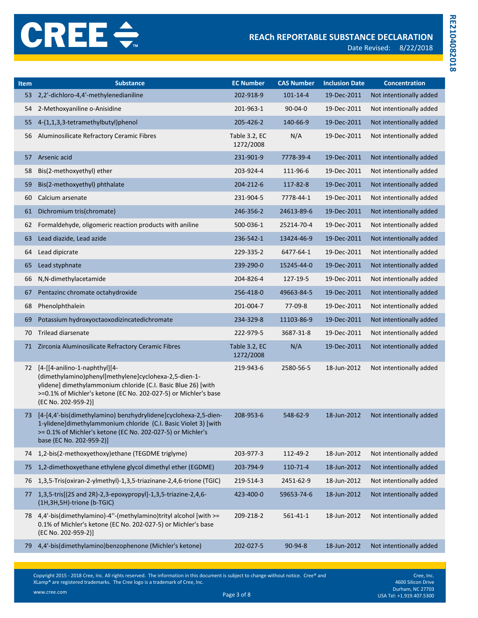| <b>Item</b> | <b>Substance</b>                                                                                                                                                                                                                                  | <b>EC Number</b>           | <b>CAS Number</b> | <b>Inclusion Date</b> | <b>Concentration</b>    |
|-------------|---------------------------------------------------------------------------------------------------------------------------------------------------------------------------------------------------------------------------------------------------|----------------------------|-------------------|-----------------------|-------------------------|
| 53          | 2,2'-dichloro-4,4'-methylenedianiline                                                                                                                                                                                                             | 202-918-9                  | $101 - 14 - 4$    | 19-Dec-2011           | Not intentionally added |
| 54          | 2-Methoxyaniline o-Anisidine                                                                                                                                                                                                                      | 201-963-1                  | $90 - 04 - 0$     | 19-Dec-2011           | Not intentionally added |
| 55          | 4-(1,1,3,3-tetramethylbutyl)phenol                                                                                                                                                                                                                | 205-426-2                  | 140-66-9          | 19-Dec-2011           | Not intentionally added |
| 56          | Aluminosilicate Refractory Ceramic Fibres                                                                                                                                                                                                         | Table 3.2, EC<br>1272/2008 | N/A               | 19-Dec-2011           | Not intentionally added |
| 57          | Arsenic acid                                                                                                                                                                                                                                      | 231-901-9                  | 7778-39-4         | 19-Dec-2011           | Not intentionally added |
| 58          | Bis(2-methoxyethyl) ether                                                                                                                                                                                                                         | 203-924-4                  | 111-96-6          | 19-Dec-2011           | Not intentionally added |
| 59          | Bis(2-methoxyethyl) phthalate                                                                                                                                                                                                                     | 204-212-6                  | 117-82-8          | 19-Dec-2011           | Not intentionally added |
| 60          | Calcium arsenate                                                                                                                                                                                                                                  | 231-904-5                  | 7778-44-1         | 19-Dec-2011           | Not intentionally added |
| 61          | Dichromium tris(chromate)                                                                                                                                                                                                                         | 246-356-2                  | 24613-89-6        | 19-Dec-2011           | Not intentionally added |
| 62          | Formaldehyde, oligomeric reaction products with aniline                                                                                                                                                                                           | 500-036-1                  | 25214-70-4        | 19-Dec-2011           | Not intentionally added |
| 63          | Lead diazide, Lead azide                                                                                                                                                                                                                          | 236-542-1                  | 13424-46-9        | 19-Dec-2011           | Not intentionally added |
| 64          | Lead dipicrate                                                                                                                                                                                                                                    | 229-335-2                  | 6477-64-1         | 19-Dec-2011           | Not intentionally added |
| 65          | Lead styphnate                                                                                                                                                                                                                                    | 239-290-0                  | 15245-44-0        | 19-Dec-2011           | Not intentionally added |
| 66          | N,N-dimethylacetamide                                                                                                                                                                                                                             | 204-826-4                  | 127-19-5          | 19-Dec-2011           | Not intentionally added |
| 67          | Pentazinc chromate octahydroxide                                                                                                                                                                                                                  | 256-418-0                  | 49663-84-5        | 19-Dec-2011           | Not intentionally added |
| 68          | Phenolphthalein                                                                                                                                                                                                                                   | 201-004-7                  | 77-09-8           | 19-Dec-2011           | Not intentionally added |
| 69          | Potassium hydroxyoctaoxodizincatedichromate                                                                                                                                                                                                       | 234-329-8                  | 11103-86-9        | 19-Dec-2011           | Not intentionally added |
| 70          | <b>Trilead diarsenate</b>                                                                                                                                                                                                                         | 222-979-5                  | 3687-31-8         | 19-Dec-2011           | Not intentionally added |
| 71          | Zirconia Aluminosilicate Refractory Ceramic Fibres                                                                                                                                                                                                | Table 3.2, EC<br>1272/2008 | N/A               | 19-Dec-2011           | Not intentionally added |
| 72          | [4-[[4-anilino-1-naphthyl][4-<br>(dimethylamino)phenyl]methylene]cyclohexa-2,5-dien-1-<br>ylidene] dimethylammonium chloride (C.I. Basic Blue 26) [with<br>>=0.1% of Michler's ketone (EC No. 202-027-5) or Michler's base<br>(EC No. 202-959-2)] | 219-943-6                  | 2580-56-5         | 18-Jun-2012           | Not intentionally added |
| 73          | [4-[4,4'-bis(dimethylamino) benzhydrylidene]cyclohexa-2,5-dien-<br>1-ylidene]dimethylammonium chloride (C.I. Basic Violet 3) [with<br>>= 0.1% of Michler's ketone (EC No. 202-027-5) or Michler's<br>base (EC No. 202-959-2)]                     | 208-953-6                  | 548-62-9          | 18-Jun-2012           | Not intentionally added |
| 74          | 1,2-bis(2-methoxyethoxy)ethane (TEGDME triglyme)                                                                                                                                                                                                  | 203-977-3                  | 112-49-2          | 18-Jun-2012           | Not intentionally added |
| 75          | 1,2-dimethoxyethane ethylene glycol dimethyl ether (EGDME)                                                                                                                                                                                        | 203-794-9                  | 110-71-4          | 18-Jun-2012           | Not intentionally added |
| 76          | 1,3,5-Tris(oxiran-2-ylmethyl)-1,3,5-triazinane-2,4,6-trione (TGIC)                                                                                                                                                                                | 219-514-3                  | 2451-62-9         | 18-Jun-2012           | Not intentionally added |
| 77          | 1,3,5-tris[(2S and 2R)-2,3-epoxypropyl]-1,3,5-triazine-2,4,6-<br>(1H,3H,5H)-trione (b-TGIC)                                                                                                                                                       | 423-400-0                  | 59653-74-6        | 18-Jun-2012           | Not intentionally added |
| 78          | 4,4'-bis(dimethylamino)-4"-(methylamino)trityl alcohol [with >=<br>0.1% of Michler's ketone (EC No. 202-027-5) or Michler's base<br>(EC No. 202-959-2)]                                                                                           | 209-218-2                  | $561 - 41 - 1$    | 18-Jun-2012           | Not intentionally added |
| 79          | 4,4'-bis(dimethylamino)benzophenone (Michler's ketone)                                                                                                                                                                                            | 202-027-5                  | 90-94-8           | 18-Jun-2012           | Not intentionally added |

Copyright 2015 - 2018 Cree, Inc. All rights reserved. The information in this document is subject to change without notice. Cree® and XLamp® are registered trademarks. The Cree logo is a trademark of Cree, Inc.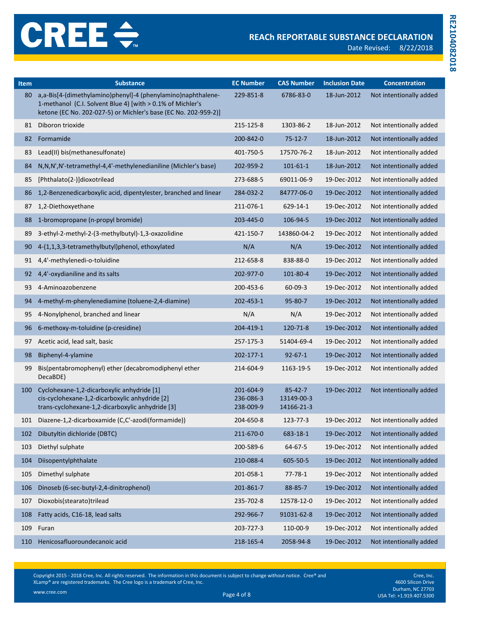Date Revised: 8/22/2018

| <b>Item</b> | <b>Substance</b>                                                                                                                                                                              | <b>EC Number</b>                    | <b>CAS Number</b>                         | <b>Inclusion Date</b> | <b>Concentration</b>    |
|-------------|-----------------------------------------------------------------------------------------------------------------------------------------------------------------------------------------------|-------------------------------------|-------------------------------------------|-----------------------|-------------------------|
| 80          | a,a-Bis[4-(dimethylamino)phenyl]-4 (phenylamino)naphthalene-<br>1-methanol (C.I. Solvent Blue 4) [with > 0.1% of Michler's<br>ketone (EC No. 202-027-5) or Michler's base (EC No. 202-959-2)] | 229-851-8                           | 6786-83-0                                 | 18-Jun-2012           | Not intentionally added |
| 81          | Diboron trioxide                                                                                                                                                                              | 215-125-8                           | 1303-86-2                                 | 18-Jun-2012           | Not intentionally added |
| 82          | Formamide                                                                                                                                                                                     | 200-842-0                           | $75 - 12 - 7$                             | 18-Jun-2012           | Not intentionally added |
| 83          | Lead(II) bis(methanesulfonate)                                                                                                                                                                | 401-750-5                           | 17570-76-2                                | 18-Jun-2012           | Not intentionally added |
| 84          | N, N, N', N'-tetramethyl-4, 4'-methylenedianiline (Michler's base)                                                                                                                            | 202-959-2                           | $101 - 61 - 1$                            | 18-Jun-2012           | Not intentionally added |
| 85          | [Phthalato(2-)]dioxotrilead                                                                                                                                                                   | 273-688-5                           | 69011-06-9                                | 19-Dec-2012           | Not intentionally added |
| 86          | 1,2-Benzenedicarboxylic acid, dipentylester, branched and linear                                                                                                                              | 284-032-2                           | 84777-06-0                                | 19-Dec-2012           | Not intentionally added |
| 87          | 1,2-Diethoxyethane                                                                                                                                                                            | 211-076-1                           | 629-14-1                                  | 19-Dec-2012           | Not intentionally added |
| 88          | 1-bromopropane (n-propyl bromide)                                                                                                                                                             | 203-445-0                           | 106-94-5                                  | 19-Dec-2012           | Not intentionally added |
| 89          | 3-ethyl-2-methyl-2-(3-methylbutyl)-1,3-oxazolidine                                                                                                                                            | 421-150-7                           | 143860-04-2                               | 19-Dec-2012           | Not intentionally added |
| 90          | 4-(1,1,3,3-tetramethylbutyl)phenol, ethoxylated                                                                                                                                               | N/A                                 | N/A                                       | 19-Dec-2012           | Not intentionally added |
| 91          | 4,4'-methylenedi-o-toluidine                                                                                                                                                                  | 212-658-8                           | 838-88-0                                  | 19-Dec-2012           | Not intentionally added |
| 92          | 4,4'-oxydianiline and its salts                                                                                                                                                               | 202-977-0                           | 101-80-4                                  | 19-Dec-2012           | Not intentionally added |
| 93          | 4-Aminoazobenzene                                                                                                                                                                             | 200-453-6                           | $60 - 09 - 3$                             | 19-Dec-2012           | Not intentionally added |
| 94          | 4-methyl-m-phenylenediamine (toluene-2,4-diamine)                                                                                                                                             | 202-453-1                           | $95 - 80 - 7$                             | 19-Dec-2012           | Not intentionally added |
| 95          | 4-Nonylphenol, branched and linear                                                                                                                                                            | N/A                                 | N/A                                       | 19-Dec-2012           | Not intentionally added |
| 96          | 6-methoxy-m-toluidine (p-cresidine)                                                                                                                                                           | 204-419-1                           | 120-71-8                                  | 19-Dec-2012           | Not intentionally added |
| 97          | Acetic acid, lead salt, basic                                                                                                                                                                 | 257-175-3                           | 51404-69-4                                | 19-Dec-2012           | Not intentionally added |
| 98          | Biphenyl-4-ylamine                                                                                                                                                                            | 202-177-1                           | $92 - 67 - 1$                             | 19-Dec-2012           | Not intentionally added |
| 99          | Bis(pentabromophenyl) ether (decabromodiphenyl ether<br>DecaBDE)                                                                                                                              | 214-604-9                           | 1163-19-5                                 | 19-Dec-2012           | Not intentionally added |
| 100         | Cyclohexane-1,2-dicarboxylic anhydride [1]<br>cis-cyclohexane-1,2-dicarboxylic anhydride [2]<br>trans-cyclohexane-1,2-dicarboxylic anhydride [3]                                              | 201-604-9<br>236-086-3<br>238-009-9 | $85 - 42 - 7$<br>13149-00-3<br>14166-21-3 | 19-Dec-2012           | Not intentionally added |
| 101         | Diazene-1,2-dicarboxamide (C,C'-azodi(formamide))                                                                                                                                             | 204-650-8                           | 123-77-3                                  | 19-Dec-2012           | Not intentionally added |
| 102         | Dibutyltin dichloride (DBTC)                                                                                                                                                                  | 211-670-0                           | 683-18-1                                  | 19-Dec-2012           | Not intentionally added |
| 103         | Diethyl sulphate                                                                                                                                                                              | 200-589-6                           | 64-67-5                                   | 19-Dec-2012           | Not intentionally added |
| 104         | Diisopentylphthalate                                                                                                                                                                          | 210-088-4                           | 605-50-5                                  | 19-Dec-2012           | Not intentionally added |
| 105         | Dimethyl sulphate                                                                                                                                                                             | 201-058-1                           | $77 - 78 - 1$                             | 19-Dec-2012           | Not intentionally added |
| 106         | Dinoseb (6-sec-butyl-2,4-dinitrophenol)                                                                                                                                                       | 201-861-7                           | 88-85-7                                   | 19-Dec-2012           | Not intentionally added |
| 107         | Dioxobis(stearato)trilead                                                                                                                                                                     | 235-702-8                           | 12578-12-0                                | 19-Dec-2012           | Not intentionally added |
| 108         | Fatty acids, C16-18, lead salts                                                                                                                                                               | 292-966-7                           | 91031-62-8                                | 19-Dec-2012           | Not intentionally added |
| 109         | Furan                                                                                                                                                                                         | 203-727-3                           | 110-00-9                                  | 19-Dec-2012           | Not intentionally added |
| 110         | Henicosafluoroundecanoic acid                                                                                                                                                                 | 218-165-4                           | 2058-94-8                                 | 19-Dec-2012           | Not intentionally added |

Copyright 2015 - 2018 Cree, Inc. All rights reserved. The information in this document is subject to change without notice. Cree® and XLamp® are registered trademarks. The Cree logo is a trademark of Cree, Inc.

Cree, Inc. 4600 Silicon Drive Durham, NC 27703<br>Page 4 of 8 USA Tel: +1.919.407.5300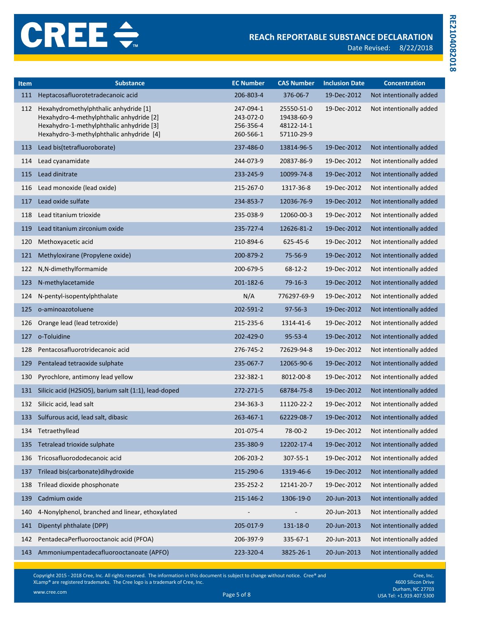| <b>Item</b> | <b>Substance</b>                                                                                                                                                          | <b>EC Number</b>                                 | <b>CAS Number</b>                                    | <b>Inclusion Date</b> | <b>Concentration</b>    |
|-------------|---------------------------------------------------------------------------------------------------------------------------------------------------------------------------|--------------------------------------------------|------------------------------------------------------|-----------------------|-------------------------|
| 111         | Heptacosafluorotetradecanoic acid                                                                                                                                         | 206-803-4                                        | 376-06-7                                             | 19-Dec-2012           | Not intentionally added |
| 112         | Hexahydromethylphthalic anhydride [1]<br>Hexahydro-4-methylphthalic anhydride [2]<br>Hexahydro-1-methylphthalic anhydride [3]<br>Hexahydro-3-methylphthalic anhydride [4] | 247-094-1<br>243-072-0<br>256-356-4<br>260-566-1 | 25550-51-0<br>19438-60-9<br>48122-14-1<br>57110-29-9 | 19-Dec-2012           | Not intentionally added |
| 113         | Lead bis(tetrafluoroborate)                                                                                                                                               | 237-486-0                                        | 13814-96-5                                           | 19-Dec-2012           | Not intentionally added |
| 114         | Lead cyanamidate                                                                                                                                                          | 244-073-9                                        | 20837-86-9                                           | 19-Dec-2012           | Not intentionally added |
| 115         | Lead dinitrate                                                                                                                                                            | 233-245-9                                        | 10099-74-8                                           | 19-Dec-2012           | Not intentionally added |
| 116         | Lead monoxide (lead oxide)                                                                                                                                                | 215-267-0                                        | 1317-36-8                                            | 19-Dec-2012           | Not intentionally added |
| 117         | Lead oxide sulfate                                                                                                                                                        | 234-853-7                                        | 12036-76-9                                           | 19-Dec-2012           | Not intentionally added |
| 118         | Lead titanium trioxide                                                                                                                                                    | 235-038-9                                        | 12060-00-3                                           | 19-Dec-2012           | Not intentionally added |
| 119         | Lead titanium zirconium oxide                                                                                                                                             | 235-727-4                                        | 12626-81-2                                           | 19-Dec-2012           | Not intentionally added |
| 120         | Methoxyacetic acid                                                                                                                                                        | 210-894-6                                        | 625-45-6                                             | 19-Dec-2012           | Not intentionally added |
| 121         | Methyloxirane (Propylene oxide)                                                                                                                                           | 200-879-2                                        | 75-56-9                                              | 19-Dec-2012           | Not intentionally added |
| 122         | N,N-dimethylformamide                                                                                                                                                     | 200-679-5                                        | $68 - 12 - 2$                                        | 19-Dec-2012           | Not intentionally added |
| 123         | N-methylacetamide                                                                                                                                                         | 201-182-6                                        | $79-16-3$                                            | 19-Dec-2012           | Not intentionally added |
| 124         | N-pentyl-isopentylphthalate                                                                                                                                               | N/A                                              | 776297-69-9                                          | 19-Dec-2012           | Not intentionally added |
| 125         | o-aminoazotoluene                                                                                                                                                         | 202-591-2                                        | $97 - 56 - 3$                                        | 19-Dec-2012           | Not intentionally added |
| 126         | Orange lead (lead tetroxide)                                                                                                                                              | 215-235-6                                        | 1314-41-6                                            | 19-Dec-2012           | Not intentionally added |
| 127         | o-Toluidine                                                                                                                                                               | 202-429-0                                        | $95 - 53 - 4$                                        | 19-Dec-2012           | Not intentionally added |
| 128         | Pentacosafluorotridecanoic acid                                                                                                                                           | 276-745-2                                        | 72629-94-8                                           | 19-Dec-2012           | Not intentionally added |
| 129         | Pentalead tetraoxide sulphate                                                                                                                                             | 235-067-7                                        | 12065-90-6                                           | 19-Dec-2012           | Not intentionally added |
| 130         | Pyrochlore, antimony lead yellow                                                                                                                                          | 232-382-1                                        | 8012-00-8                                            | 19-Dec-2012           | Not intentionally added |
| 131         | Silicic acid (H2SiO5), barium salt (1:1), lead-doped                                                                                                                      | 272-271-5                                        | 68784-75-8                                           | 19-Dec-2012           | Not intentionally added |
| 132         | Silicic acid, lead salt                                                                                                                                                   | 234-363-3                                        | 11120-22-2                                           | 19-Dec-2012           | Not intentionally added |
| 133         | Sulfurous acid, lead salt, dibasic                                                                                                                                        | 263-467-1                                        | 62229-08-7                                           | 19-Dec-2012           | Not intentionally added |
|             | 134 Tetraethyllead                                                                                                                                                        | 201-075-4                                        | 78-00-2                                              | 19-Dec-2012           | Not intentionally added |
| 135         | Tetralead trioxide sulphate                                                                                                                                               | 235-380-9                                        | 12202-17-4                                           | 19-Dec-2012           | Not intentionally added |
| 136         | Tricosafluorododecanoic acid                                                                                                                                              | 206-203-2                                        | 307-55-1                                             | 19-Dec-2012           | Not intentionally added |
| 137         | Trilead bis(carbonate)dihydroxide                                                                                                                                         | 215-290-6                                        | 1319-46-6                                            | 19-Dec-2012           | Not intentionally added |
| 138         | Trilead dioxide phosphonate                                                                                                                                               | 235-252-2                                        | 12141-20-7                                           | 19-Dec-2012           | Not intentionally added |
| 139         | Cadmium oxide                                                                                                                                                             | 215-146-2                                        | 1306-19-0                                            | 20-Jun-2013           | Not intentionally added |
| 140         | 4-Nonylphenol, branched and linear, ethoxylated                                                                                                                           |                                                  |                                                      | 20-Jun-2013           | Not intentionally added |
| 141         | Dipentyl phthalate (DPP)                                                                                                                                                  | 205-017-9                                        | 131-18-0                                             | 20-Jun-2013           | Not intentionally added |
| 142         | PentadecaPerfluorooctanoic acid (PFOA)                                                                                                                                    | 206-397-9                                        | 335-67-1                                             | 20-Jun-2013           | Not intentionally added |
| 143         | Ammoniumpentadecafluorooctanoate (APFO)                                                                                                                                   | 223-320-4                                        | 3825-26-1                                            | 20-Jun-2013           | Not intentionally added |

Copyright 2015 - 2018 Cree, Inc. All rights reserved. The information in this document is subject to change without notice. Cree® and XLamp® are registered trademarks. The Cree logo is a trademark of Cree, Inc.

Cree, Inc. 4600 Silicon Drive Durham, NC 27703<br>DusA Tel: +1.919.407.5300 USA Tel: +1.919.407.5300 USA Tel: +1.919.407.5300

www.cree.com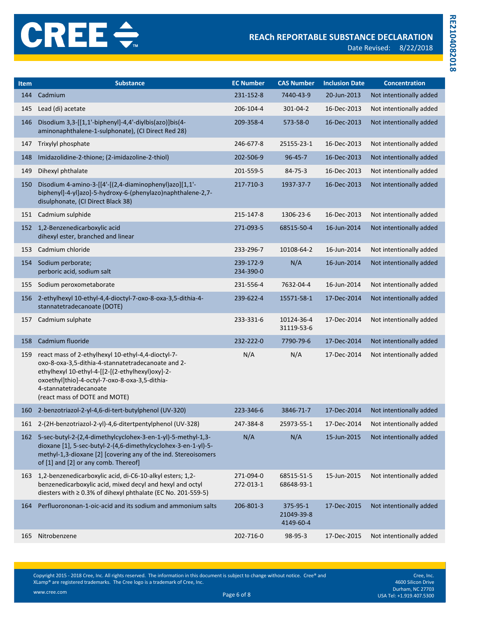Date Revised: 8/22/2018

**RE2104082018**

RE2104082018

| <b>Item</b> | <b>Substance</b>                                                                                                                                                                                                                                                          | <b>EC Number</b>       | <b>CAS Number</b>                   | <b>Inclusion Date</b> | <b>Concentration</b>    |
|-------------|---------------------------------------------------------------------------------------------------------------------------------------------------------------------------------------------------------------------------------------------------------------------------|------------------------|-------------------------------------|-----------------------|-------------------------|
| 144         | Cadmium                                                                                                                                                                                                                                                                   | 231-152-8              | 7440-43-9                           | 20-Jun-2013           | Not intentionally added |
| 145         | Lead (di) acetate                                                                                                                                                                                                                                                         | 206-104-4              | 301-04-2                            | 16-Dec-2013           | Not intentionally added |
| 146         | Disodium 3,3-[[1,1'-biphenyl]-4,4'-diylbis(azo)]bis(4-<br>aminonaphthalene-1-sulphonate), (CI Direct Red 28)                                                                                                                                                              | 209-358-4              | 573-58-0                            | 16-Dec-2013           | Not intentionally added |
| 147         | Trixylyl phosphate                                                                                                                                                                                                                                                        | 246-677-8              | 25155-23-1                          | 16-Dec-2013           | Not intentionally added |
| 148         | Imidazolidine-2-thione; (2-imidazoline-2-thiol)                                                                                                                                                                                                                           | 202-506-9              | $96 - 45 - 7$                       | 16-Dec-2013           | Not intentionally added |
| 149         | Dihexyl phthalate                                                                                                                                                                                                                                                         | 201-559-5              | $84 - 75 - 3$                       | 16-Dec-2013           | Not intentionally added |
| 150         | Disodium 4-amino-3-[[4'-[(2,4-diaminophenyl)azo][1,1'-<br>biphenyl]-4-yl]azo]-5-hydroxy-6-(phenylazo)naphthalene-2,7-<br>disulphonate, (CI Direct Black 38)                                                                                                               | 217-710-3              | 1937-37-7                           | 16-Dec-2013           | Not intentionally added |
|             | 151 Cadmium sulphide                                                                                                                                                                                                                                                      | 215-147-8              | 1306-23-6                           | 16-Dec-2013           | Not intentionally added |
|             | 152 1,2-Benzenedicarboxylic acid<br>dihexyl ester, branched and linear                                                                                                                                                                                                    | 271-093-5              | 68515-50-4                          | 16-Jun-2014           | Not intentionally added |
| 153         | Cadmium chloride                                                                                                                                                                                                                                                          | 233-296-7              | 10108-64-2                          | 16-Jun-2014           | Not intentionally added |
| 154         | Sodium perborate;<br>perboric acid, sodium salt                                                                                                                                                                                                                           | 239-172-9<br>234-390-0 | N/A                                 | 16-Jun-2014           | Not intentionally added |
| 155         | Sodium peroxometaborate                                                                                                                                                                                                                                                   | 231-556-4              | 7632-04-4                           | 16-Jun-2014           | Not intentionally added |
| 156         | 2-ethylhexyl 10-ethyl-4,4-dioctyl-7-oxo-8-oxa-3,5-dithia-4-<br>stannatetradecanoate (DOTE)                                                                                                                                                                                | 239-622-4              | 15571-58-1                          | 17-Dec-2014           | Not intentionally added |
| 157         | Cadmium sulphate                                                                                                                                                                                                                                                          | 233-331-6              | 10124-36-4<br>31119-53-6            | 17-Dec-2014           | Not intentionally added |
| 158         | Cadmium fluoride                                                                                                                                                                                                                                                          | 232-222-0              | 7790-79-6                           | 17-Dec-2014           | Not intentionally added |
| 159         | react mass of 2-ethylhexyl 10-ethyl-4,4-dioctyl-7-<br>oxo-8-oxa-3,5-dithia-4-stannatetradecanoate and 2-<br>ethylhexyl 10-ethyl-4-[[2-[(2-ethylhexyl)oxy]-2-<br>oxoethyl]thio]-4-octyl-7-oxo-8-oxa-3,5-dithia-<br>4-stannatetradecanoate<br>(react mass of DOTE and MOTE) | N/A                    | N/A                                 | 17-Dec-2014           | Not intentionally added |
| 160         | 2-benzotriazol-2-yl-4,6-di-tert-butylphenol (UV-320)                                                                                                                                                                                                                      | 223-346-6              | 3846-71-7                           | 17-Dec-2014           | Not intentionally added |
|             | 161 2-(2H-benzotriazol-2-yl)-4,6-ditertpentylphenol (UV-328)                                                                                                                                                                                                              | 247-384-8              | 25973-55-1                          | 17-Dec-2014           | Not intentionally added |
|             | 162 5-sec-butyl-2-(2,4-dimethylcyclohex-3-en-1-yl)-5-methyl-1,3-<br>dioxane [1], 5-sec-butyl-2-(4,6-dimethylcyclohex-3-en-1-yl)-5-<br>methyl-1,3-dioxane [2] [covering any of the ind. Stereoisomers<br>of [1] and [2] or any comb. Thereof]                              | N/A                    | N/A                                 | 15-Jun-2015           | Not intentionally added |
| 163         | 1,2-benzenedicarboxylic acid, di-C6-10-alkyl esters; 1,2-<br>benzenedicarboxylic acid, mixed decyl and hexyl and octyl<br>diesters with ≥ 0.3% of dihexyl phthalate (EC No. 201-559-5)                                                                                    | 271-094-0<br>272-013-1 | 68515-51-5<br>68648-93-1            | 15-Jun-2015           | Not intentionally added |
| 164         | Perfluorononan-1-oic-acid and its sodium and ammonium salts                                                                                                                                                                                                               | 206-801-3              | 375-95-1<br>21049-39-8<br>4149-60-4 | 17-Dec-2015           | Not intentionally added |
| 165         | Nitrobenzene                                                                                                                                                                                                                                                              | 202-716-0              | 98-95-3                             | 17-Dec-2015           | Not intentionally added |

Copyright 2015 - 2018 Cree, Inc. All rights reserved. The information in this document is subject to change without notice. Cree® and XLamp® are registered trademarks. The Cree logo is a trademark of Cree, Inc.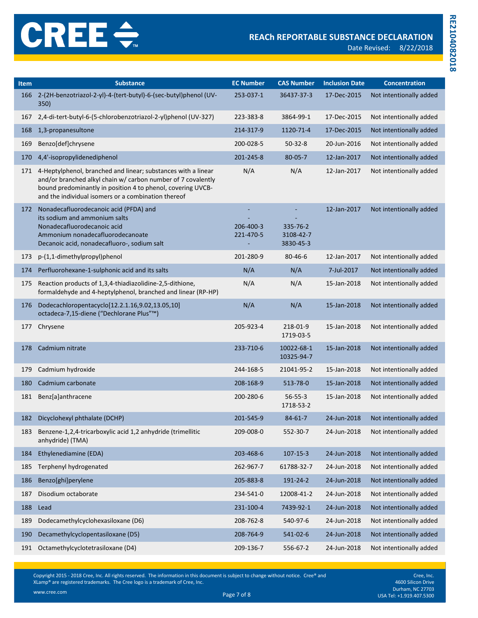| <b>Item</b> | <b>Substance</b>                                                                                                                                                                                                                                    | <b>EC Number</b>       | <b>CAS Number</b>                  | <b>Inclusion Date</b> | <b>Concentration</b>    |
|-------------|-----------------------------------------------------------------------------------------------------------------------------------------------------------------------------------------------------------------------------------------------------|------------------------|------------------------------------|-----------------------|-------------------------|
| 166         | 2-(2H-benzotriazol-2-yl)-4-(tert-butyl)-6-(sec-butyl)phenol (UV-<br>350)                                                                                                                                                                            | 253-037-1              | 36437-37-3                         | 17-Dec-2015           | Not intentionally added |
| 167         | 2,4-di-tert-butyl-6-(5-chlorobenzotriazol-2-yl)phenol (UV-327)                                                                                                                                                                                      | 223-383-8              | 3864-99-1                          | 17-Dec-2015           | Not intentionally added |
| 168         | 1,3-propanesultone                                                                                                                                                                                                                                  | 214-317-9              | 1120-71-4                          | 17-Dec-2015           | Not intentionally added |
| 169         | Benzo[def]chrysene                                                                                                                                                                                                                                  | 200-028-5              | $50 - 32 - 8$                      | 20-Jun-2016           | Not intentionally added |
| 170         | 4,4'-isopropylidenediphenol                                                                                                                                                                                                                         | 201-245-8              | $80 - 05 - 7$                      | 12-Jan-2017           | Not intentionally added |
| 171         | 4-Heptylphenol, branched and linear; substances with a linear<br>and/or branched alkyl chain w/ carbon number of 7 covalently<br>bound predominantly in position 4 to phenol, covering UVCB-<br>and the individual isomers or a combination thereof | N/A                    | N/A                                | 12-Jan-2017           | Not intentionally added |
| 172         | Nonadecafluorodecanoic acid (PFDA) and<br>its sodium and ammonium salts<br>Nonadecafluorodecanoic acid<br>Ammonium nonadecafluorodecanoate<br>Decanoic acid, nonadecafluoro-, sodium salt                                                           | 206-400-3<br>221-470-5 | 335-76-2<br>3108-42-7<br>3830-45-3 | 12-Jan-2017           | Not intentionally added |
| 173         | p-(1,1-dimethylpropyl)phenol                                                                                                                                                                                                                        | 201-280-9              | $80 - 46 - 6$                      | 12-Jan-2017           | Not intentionally added |
| 174         | Perfluorohexane-1-sulphonic acid and its salts                                                                                                                                                                                                      | N/A                    | N/A                                | 7-Jul-2017            | Not intentionally added |
| 175         | Reaction products of 1,3,4-thiadiazolidine-2,5-dithione,<br>formaldehyde and 4-heptylphenol, branched and linear (RP-HP)                                                                                                                            | N/A                    | N/A                                | 15-Jan-2018           | Not intentionally added |
| 176         | Dodecachloropentacyclo[12.2.1.16,9.02,13.05,10]<br>octadeca-7,15-diene ("Dechlorane Plus"™)                                                                                                                                                         | N/A                    | N/A                                | 15-Jan-2018           | Not intentionally added |
| 177         | Chrysene                                                                                                                                                                                                                                            | 205-923-4              | 218-01-9<br>1719-03-5              | 15-Jan-2018           | Not intentionally added |
| 178         | Cadmium nitrate                                                                                                                                                                                                                                     | 233-710-6              | 10022-68-1<br>10325-94-7           | 15-Jan-2018           | Not intentionally added |
| 179         | Cadmium hydroxide                                                                                                                                                                                                                                   | 244-168-5              | 21041-95-2                         | 15-Jan-2018           | Not intentionally added |
| 180         | Cadmium carbonate                                                                                                                                                                                                                                   | 208-168-9              | 513-78-0                           | 15-Jan-2018           | Not intentionally added |
| 181         | Benz[a]anthracene                                                                                                                                                                                                                                   | 200-280-6              | $56 - 55 - 3$<br>1718-53-2         | 15-Jan-2018           | Not intentionally added |
| 182         | Dicyclohexyl phthalate (DCHP)                                                                                                                                                                                                                       | 201-545-9              | $84 - 61 - 7$                      | 24-Jun-2018           | Not intentionally added |
| 183         | Benzene-1,2,4-tricarboxylic acid 1,2 anhydride (trimellitic<br>anhydride) (TMA)                                                                                                                                                                     | 209-008-0              | 552-30-7                           | 24-Jun-2018           | Not intentionally added |
| 184         | Ethylenediamine (EDA)                                                                                                                                                                                                                               | 203-468-6              | $107 - 15 - 3$                     | 24-Jun-2018           | Not intentionally added |
| 185         | Terphenyl hydrogenated                                                                                                                                                                                                                              | 262-967-7              | 61788-32-7                         | 24-Jun-2018           | Not intentionally added |
| 186         | Benzo[ghi]perylene                                                                                                                                                                                                                                  | 205-883-8              | 191-24-2                           | 24-Jun-2018           | Not intentionally added |
| 187         | Disodium octaborate                                                                                                                                                                                                                                 | 234-541-0              | 12008-41-2                         | 24-Jun-2018           | Not intentionally added |
| 188         | Lead                                                                                                                                                                                                                                                | 231-100-4              | 7439-92-1                          | 24-Jun-2018           | Not intentionally added |
| 189         | Dodecamethylcyclohexasiloxane (D6)                                                                                                                                                                                                                  | 208-762-8              | 540-97-6                           | 24-Jun-2018           | Not intentionally added |
| 190         | Decamethylcyclopentasiloxane (D5)                                                                                                                                                                                                                   | 208-764-9              | 541-02-6                           | 24-Jun-2018           | Not intentionally added |
| 191         | Octamethylcyclotetrasiloxane (D4)                                                                                                                                                                                                                   | 209-136-7              | 556-67-2                           | 24-Jun-2018           | Not intentionally added |

Copyright 2015 - 2018 Cree, Inc. All rights reserved. The information in this document is subject to change without notice. Cree® and XLamp® are registered trademarks. The Cree logo is a trademark of Cree, Inc.

Cree, Inc. 4600 Silicon Drive Durham, NC 27703<br>Page 7 of 8 USA Tel: +1.919.407.5300